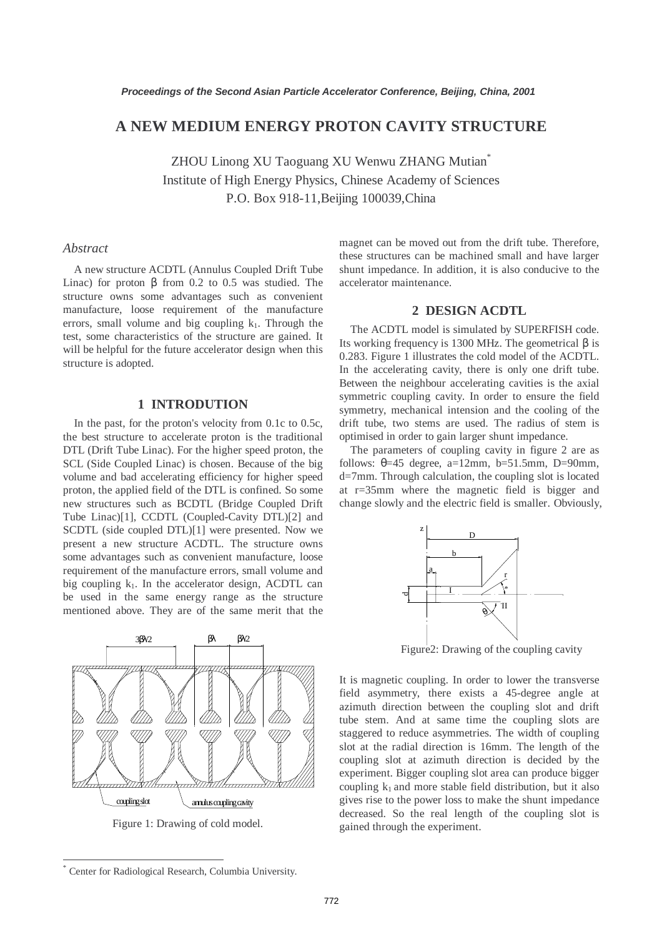# **A NEW MEDIUM ENERGY PROTON CAVITY STRUCTURE**

ZHOU Linong XU Taoguang XU Wenwu ZHANG Mutian\* Institute of High Energy Physics, Chinese Academy of Sciences P.O. Box 918-11,Beijing 100039,China

### *Abstract*

A new structure ACDTL (Annulus Coupled Drift Tube Linac) for proton β from 0.2 to 0.5 was studied. The structure owns some advantages such as convenient manufacture, loose requirement of the manufacture errors, small volume and big coupling  $k_1$ . Through the test, some characteristics of the structure are gained. It will be helpful for the future accelerator design when this structure is adopted.

# **1 INTRODUTION**

In the past, for the proton's velocity from 0.1c to 0.5c, the best structure to accelerate proton is the traditional DTL (Drift Tube Linac). For the higher speed proton, the SCL (Side Coupled Linac) is chosen. Because of the big volume and bad accelerating efficiency for higher speed proton, the applied field of the DTL is confined. So some new structures such as BCDTL (Bridge Coupled Drift Tube Linac)[1], CCDTL (Coupled-Cavity DTL)[2] and SCDTL (side coupled DTL)[1] were presented. Now we present a new structure ACDTL. The structure owns some advantages such as convenient manufacture, loose requirement of the manufacture errors, small volume and big coupling  $k_1$ . In the accelerator design, ACDTL can be used in the same energy range as the structure mentioned above. They are of the same merit that the



Figure 1: Drawing of cold model.

magnet can be moved out from the drift tube. Therefore, these structures can be machined small and have larger shunt impedance. In addition, it is also conducive to the accelerator maintenance.

# **2 DESIGN ACDTL**

The ACDTL model is simulated by SUPERFISH code. Its working frequency is 1300 MHz. The geometrical β is 0.283. Figure 1 illustrates the cold model of the ACDTL. In the accelerating cavity, there is only one drift tube. Between the neighbour accelerating cavities is the axial symmetric coupling cavity. In order to ensure the field symmetry, mechanical intension and the cooling of the drift tube, two stems are used. The radius of stem is optimised in order to gain larger shunt impedance.

The parameters of coupling cavity in figure 2 are as follows:  $\theta = 45$  degree, a=12mm, b=51.5mm, D=90mm, d=7mm. Through calculation, the coupling slot is located at r=35mm where the magnetic field is bigger and change slowly and the electric field is smaller. Obviously,



Figure2: Drawing of the coupling cavity

It is magnetic coupling. In order to lower the transverse field asymmetry, there exists a 45-degree angle at azimuth direction between the coupling slot and drift tube stem. And at same time the coupling slots are staggered to reduce asymmetries. The width of coupling slot at the radial direction is 16mm. The length of the coupling slot at azimuth direction is decided by the experiment. Bigger coupling slot area can produce bigger coupling  $k_1$  and more stable field distribution, but it also gives rise to the power loss to make the shunt impedance decreased. So the real length of the coupling slot is gained through the experiment.

 $\overline{\phantom{a}}$ 

<sup>\*</sup> Center for Radiological Research, Columbia University.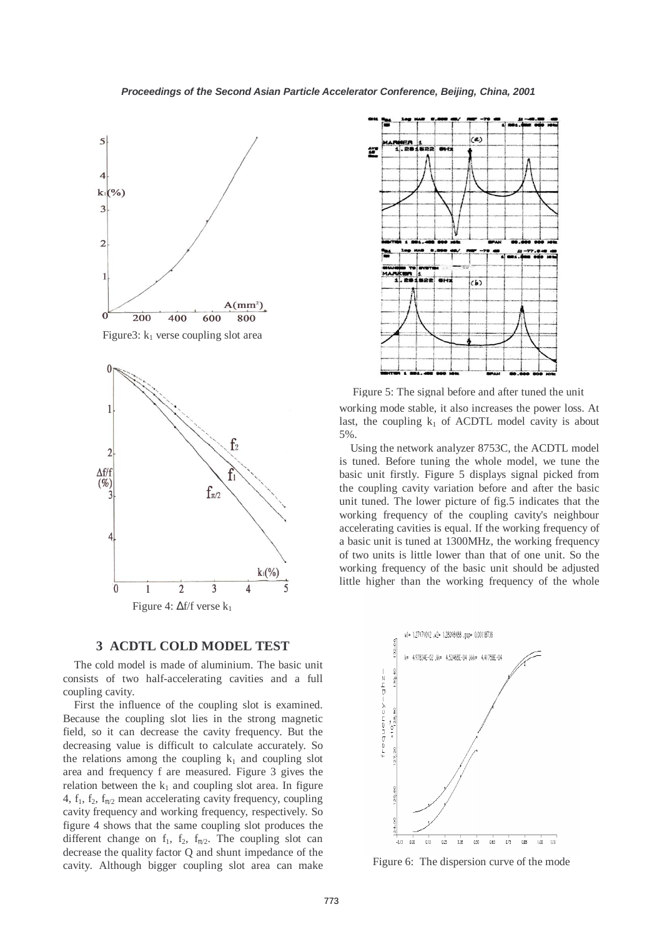

Figure3:  $k_1$  verse coupling slot area



#### **3 ACDTL COLD MODEL TEST**

The cold model is made of aluminium. The basic unit consists of two half-accelerating cavities and a full coupling cavity.

First the influence of the coupling slot is examined. Because the coupling slot lies in the strong magnetic field, so it can decrease the cavity frequency. But the decreasing value is difficult to calculate accurately. So the relations among the coupling  $k_1$  and coupling slot area and frequency f are measured. Figure 3 gives the relation between the  $k_1$  and coupling slot area. In figure 4,  $f_1$ ,  $f_2$ ,  $f_{\pi/2}$  mean accelerating cavity frequency, coupling cavity frequency and working frequency, respectively. So figure 4 shows that the same coupling slot produces the different change on  $f_1$ ,  $f_2$ ,  $f_{\pi/2}$ . The coupling slot can decrease the quality factor Q and shunt impedance of the cavity. Although bigger coupling slot area can make



working mode stable, it also increases the power loss. At Figure 5: The signal before and after tuned the unit

last, the coupling  $k_1$  of ACDTL model cavity is about 5%.

Using the network analyzer 8753C, the ACDTL model is tuned. Before tuning the whole model, we tune the basic unit firstly. Figure 5 displays signal picked from the coupling cavity variation before and after the basic unit tuned. The lower picture of fig.5 indicates that the working frequency of the coupling cavity's neighbour accelerating cavities is equal. If the working frequency of a basic unit is tuned at 1300MHz, the working frequency of two units is little lower than that of one unit. So the working frequency of the basic unit should be adjusted little higher than the working frequency of the whole



Figure 6: The dispersion curve of the mode